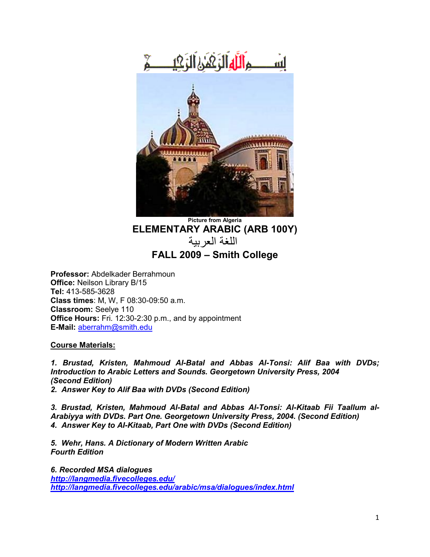

**Picture from Algeria ELEMENTARY ARABIC (ARB 100Y)** اللغة العربية **FALL 2009 – Smith College**

**Professor:** Abdelkader Berrahmoun **Office:** Neilson Library B/15 **Tel:** 413-585-3628 **Class times**: M, W, F 08:30-09:50 a.m. **Classroom:** Seelye 110 **Office Hours:** Fri. 12:30-2:30 p.m., and by appointment **E-Mail:** [aberrahm@smith.edu](mailto:aberrahm@smith.edu)

**Course Materials:**

*1. Brustad, Kristen, Mahmoud Al-Batal and Abbas Al-Tonsi: Alif Baa with DVDs; Introduction to Arabic Letters and Sounds. Georgetown University Press, 2004 (Second Edition) 2. Answer Key to Alif Baa with DVDs (Second Edition)*

*3. Brustad, Kristen, Mahmoud Al-Batal and Abbas Al-Tonsi: Al-Kitaab Fii Taallum al-Arabiyya with DVDs. Part One. Georgetown University Press, 2004. (Second Edition) 4. Answer Key to AI-Kitaab, Part One with DVDs (Second Edition)*

*5. Wehr, Hans. A Dictionary of Modern Written Arabic Fourth Edition*

*6. Recorded MSA dialogues <http://langmedia.fivecolleges.edu/> <http://langmedia.fivecolleges.edu/arabic/msa/dialogues/index.html>*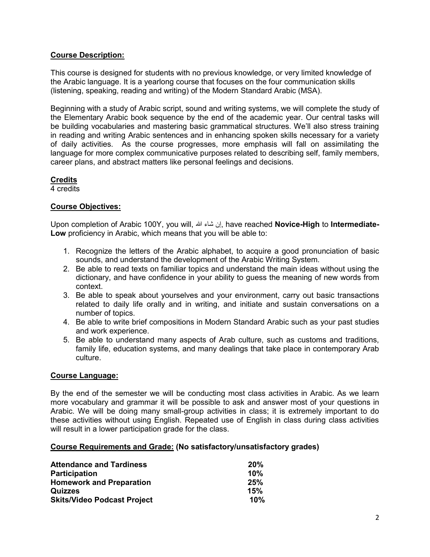# **Course Description:**

This course is designed for students with no previous knowledge, or very limited knowledge of the Arabic language. It is a yearlong course that focuses on the four communication skills (listening, speaking, reading and writing) of the Modern Standard Arabic (MSA).

Beginning with a study of Arabic script, sound and writing systems, we will complete the study of the Elementary Arabic book sequence by the end of the academic year. Our central tasks will be building vocabularies and mastering basic grammatical structures. We'll also stress training in reading and writing Arabic sentences and in enhancing spoken skills necessary for a variety of daily activities. As the course progresses, more emphasis will fall on assimilating the language for more complex communicative purposes related to describing self, family members, career plans, and abstract matters like personal feelings and decisions.

# **Credits**

4 credits

# **Course Objectives:**

Upon completion of Arabic 100Y, you will, هللا شاء إن, have reached **Novice-High** to **Intermediate-Low** proficiency in Arabic, which means that you will be able to:

- 1. Recognize the letters of the Arabic alphabet, to acquire a good pronunciation of basic sounds, and understand the development of the Arabic Writing System.
- 2. Be able to read texts on familiar topics and understand the main ideas without using the dictionary, and have confidence in your ability to guess the meaning of new words from context.
- 3. Be able to speak about yourselves and your environment, carry out basic transactions related to daily life orally and in writing, and initiate and sustain conversations on a number of topics.
- 4. Be able to write brief compositions in Modern Standard Arabic such as your past studies and work experience.
- 5. Be able to understand many aspects of Arab culture, such as customs and traditions, family life, education systems, and many dealings that take place in contemporary Arab culture.

## **Course Language:**

By the end of the semester we will be conducting most class activities in Arabic. As we learn more vocabulary and grammar it will be possible to ask and answer most of your questions in Arabic. We will be doing many small-group activities in class; it is extremely important to do these activities without using English. Repeated use of English in class during class activities will result in a lower participation grade for the class.

## **Course Requirements and Grade: (No satisfactory/unsatisfactory grades)**

| <b>Attendance and Tardiness</b>    | 20% |
|------------------------------------|-----|
| <b>Participation</b>               | 10% |
| <b>Homework and Preparation</b>    | 25% |
| Quizzes                            | 15% |
| <b>Skits/Video Podcast Project</b> | 10% |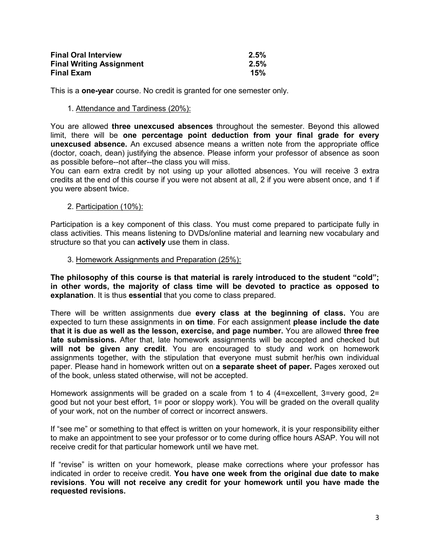| <b>Final Oral Interview</b>     | $2.5\%$ |
|---------------------------------|---------|
| <b>Final Writing Assignment</b> | 2.5%    |
| <b>Final Exam</b>               | 15%     |

This is a **one-year** course. No credit is granted for one semester only.

### 1. Attendance and Tardiness (20%):

You are allowed **three unexcused absences** throughout the semester. Beyond this allowed limit, there will be **one percentage point deduction from your final grade for every unexcused absence.** An excused absence means a written note from the appropriate office (doctor, coach, dean) justifying the absence. Please inform your professor of absence as soon as possible before--not after--the class you will miss.

You can earn extra credit by not using up your allotted absences. You will receive 3 extra credits at the end of this course if you were not absent at all, 2 if you were absent once, and 1 if you were absent twice.

## 2. Participation (10%):

Participation is a key component of this class. You must come prepared to participate fully in class activities. This means listening to DVDs/online material and learning new vocabulary and structure so that you can **actively** use them in class.

### 3. Homework Assignments and Preparation (25%):

**The philosophy of this course is that material is rarely introduced to the student "cold"; in other words, the majority of class time will be devoted to practice as opposed to explanation**. It is thus **essential** that you come to class prepared.

There will be written assignments due **every class at the beginning of class.** You are expected to turn these assignments in **on time**. For each assignment **please include the date that it is due as well as the lesson, exercise, and page number.** You are allowed **three free late submissions.** After that, late homework assignments will be accepted and checked but **will not be given any credit**. You are encouraged to study and work on homework assignments together, with the stipulation that everyone must submit her/his own individual paper. Please hand in homework written out on **a separate sheet of paper.** Pages xeroxed out of the book, unless stated otherwise, will not be accepted.

Homework assignments will be graded on a scale from 1 to 4 (4=excellent, 3=very good, 2= good but not your best effort, 1= poor or sloppy work). You will be graded on the overall quality of your work, not on the number of correct or incorrect answers.

If "see me" or something to that effect is written on your homework, it is your responsibility either to make an appointment to see your professor or to come during office hours ASAP. You will not receive credit for that particular homework until we have met.

If "revise" is written on your homework, please make corrections where your professor has indicated in order to receive credit. **You have one week from the original due date to make revisions**. **You will not receive any credit for your homework until you have made the requested revisions.**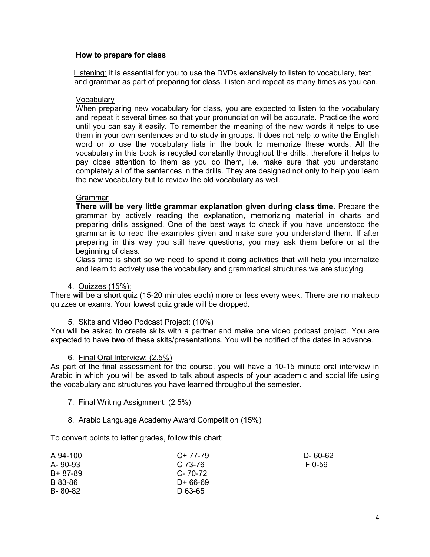## **How to prepare for class**

Listening: it is essential for you to use the DVDs extensively to listen to vocabulary, text and grammar as part of preparing for class. Listen and repeat as many times as you can.

## **Vocabulary**

When preparing new vocabulary for class, you are expected to listen to the vocabulary and repeat it several times so that your pronunciation will be accurate. Practice the word until you can say it easily. To remember the meaning of the new words it helps to use them in your own sentences and to study in groups. It does not help to write the English word or to use the vocabulary lists in the book to memorize these words. All the vocabulary in this book is recycled constantly throughout the drills, therefore it helps to pay close attention to them as you do them, i.e. make sure that you understand completely all of the sentences in the drills. They are designed not only to help you learn the new vocabulary but to review the old vocabulary as well.

## Grammar

**There will be very little grammar explanation given during class time.** Prepare the grammar by actively reading the explanation, memorizing material in charts and preparing drills assigned. One of the best ways to check if you have understood the grammar is to read the examples given and make sure you understand them. If after preparing in this way you still have questions, you may ask them before or at the beginning of class.

Class time is short so we need to spend it doing activities that will help you internalize and learn to actively use the vocabulary and grammatical structures we are studying.

### 4. Quizzes (15%):

There will be a short quiz (15-20 minutes each) more or less every week. There are no makeup quizzes or exams. Your lowest quiz grade will be dropped.

### 5. Skits and Video Podcast Project: (10%)

You will be asked to create skits with a partner and make one video podcast project. You are expected to have **two** of these skits/presentations. You will be notified of the dates in advance.

### 6. Final Oral Interview: (2.5%)

As part of the final assessment for the course, you will have a 10-15 minute oral interview in Arabic in which you will be asked to talk about aspects of your academic and social life using the vocabulary and structures you have learned throughout the semester.

### 7. Final Writing Assignment: (2.5%)

### 8. Arabic Language Academy Award Competition (15%)

To convert points to letter grades, follow this chart:

| A 94-100 | $C+77-79$     | D- 60-62 |
|----------|---------------|----------|
| A-90-93  | $C.73-76$     | F 0-59   |
| B+ 87-89 | $C - 70 - 72$ |          |
| B 83-86  | D+ 66-69      |          |
| B-80-82  | D 63-65       |          |